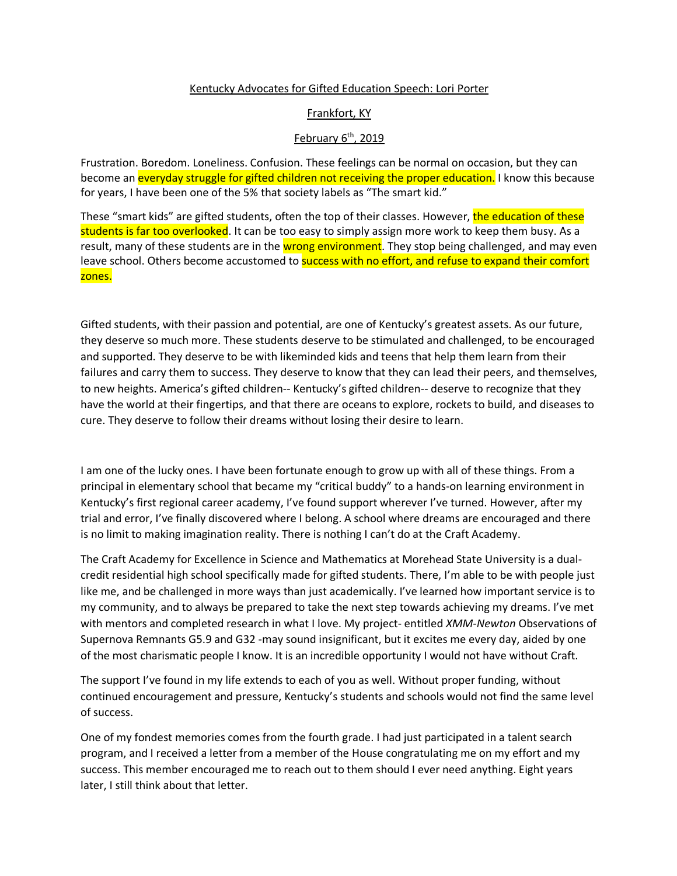## Kentucky Advocates for Gifted Education Speech: Lori Porter

## Frankfort, KY

## February  $6<sup>th</sup>$ , 2019

Frustration. Boredom. Loneliness. Confusion. These feelings can be normal on occasion, but they can become an everyday struggle for gifted children not receiving the proper education. I know this because for years, I have been one of the 5% that society labels as "The smart kid."

These "smart kids" are gifted students, often the top of their classes. However, the education of these students is far too overlooked. It can be too easy to simply assign more work to keep them busy. As a result, many of these students are in the wrong environment. They stop being challenged, and may even leave school. Others become accustomed to success with no effort, and refuse to expand their comfort zones.

Gifted students, with their passion and potential, are one of Kentucky's greatest assets. As our future, they deserve so much more. These students deserve to be stimulated and challenged, to be encouraged and supported. They deserve to be with likeminded kids and teens that help them learn from their failures and carry them to success. They deserve to know that they can lead their peers, and themselves, to new heights. America's gifted children-- Kentucky's gifted children-- deserve to recognize that they have the world at their fingertips, and that there are oceans to explore, rockets to build, and diseases to cure. They deserve to follow their dreams without losing their desire to learn.

I am one of the lucky ones. I have been fortunate enough to grow up with all of these things. From a principal in elementary school that became my "critical buddy" to a hands-on learning environment in Kentucky's first regional career academy, I've found support wherever I've turned. However, after my trial and error, I've finally discovered where I belong. A school where dreams are encouraged and there is no limit to making imagination reality. There is nothing I can't do at the Craft Academy.

The Craft Academy for Excellence in Science and Mathematics at Morehead State University is a dualcredit residential high school specifically made for gifted students. There, I'm able to be with people just like me, and be challenged in more ways than just academically. I've learned how important service is to my community, and to always be prepared to take the next step towards achieving my dreams. I've met with mentors and completed research in what I love. My project- entitled *XMM-Newton* Observations of Supernova Remnants G5.9 and G32 -may sound insignificant, but it excites me every day, aided by one of the most charismatic people I know. It is an incredible opportunity I would not have without Craft.

The support I've found in my life extends to each of you as well. Without proper funding, without continued encouragement and pressure, Kentucky's students and schools would not find the same level of success.

One of my fondest memories comes from the fourth grade. I had just participated in a talent search program, and I received a letter from a member of the House congratulating me on my effort and my success. This member encouraged me to reach out to them should I ever need anything. Eight years later, I still think about that letter.